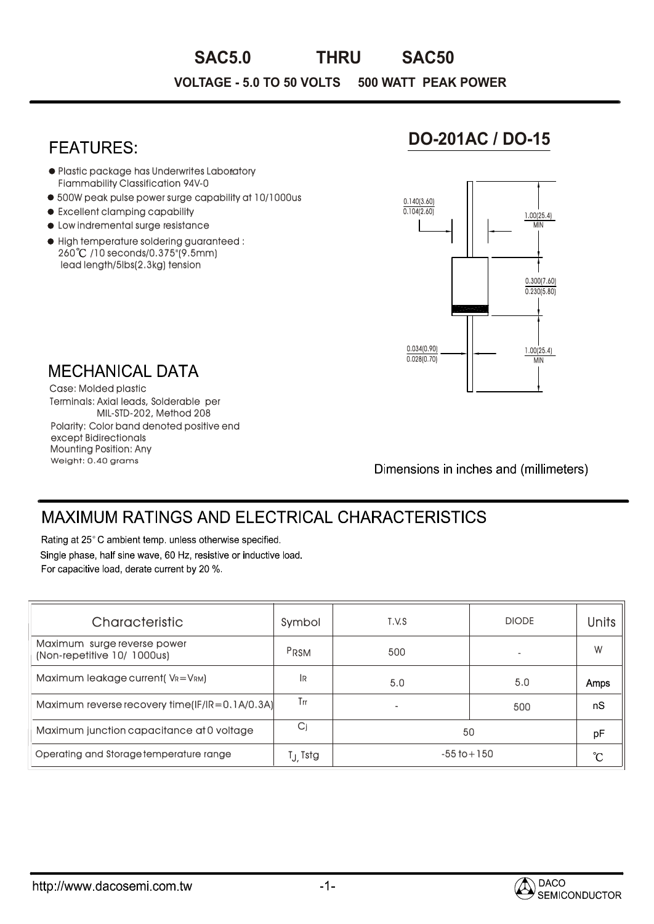# **VOLTAGE - 5.0 TO 50 VOLTS 500 WATT PEAK POWER SAC5.0 THRU SAC50**

### **FEATURES**

- Plastic package has Underwrites Laboratory Fiammability Classification 94V-0
- 500W peak pulse power surge capability at 10/1000us
- $\bullet$  Excellent clamping capability
- $\bullet$  Low indremental surge resistance
- High temperature soldering guaranteed : 260 /10 seconds/0.375"(9.5mm) lead length/5lbs(2.3kg) tension

## **DO-201AC / DO-15**



**MECHANICAL DATA** 

Weight: 0.40 grams Mounting Position: Any Terminals: Axial leads, Solderable per MIL-STD-202, Method 208 Case: Molded plastic Polarity: Color band denoted positive end except Bidirectionals

Dimensions in inches and (millimeters)

## **MAXIMUM RATINGS AND ELECTRICAL CHARACTERISTICS**

Rating at 25°C ambient temp. unless otherwise specified.

Single phase, half sine wave, 60 Hz, resistive or inductive load. For capacitive load, derate current by 20 %.

| Characteristic                                             | Symbol  | T.V.S           | <b>DIODE</b> | <b>Units</b> |  |
|------------------------------------------------------------|---------|-----------------|--------------|--------------|--|
| Maximum surge reverse power<br>(Non-repetitive 10/ 1000us) | PRSM    | 500             |              | W            |  |
| Maximum leakage current(VR=VRM)                            | 1R      | 5.0             | 5.0          | Amps         |  |
| Maximum reverse recovery time(IF/IR=0.1A/0.3A)             | Tп      |                 | 500          | nS           |  |
| Maximum junction capacitance at 0 voltage                  | Cj      | 50              | pF           |              |  |
| Operating and Storage temperature range                    | Tj_Tstg | $-55$ to $+150$ |              |              |  |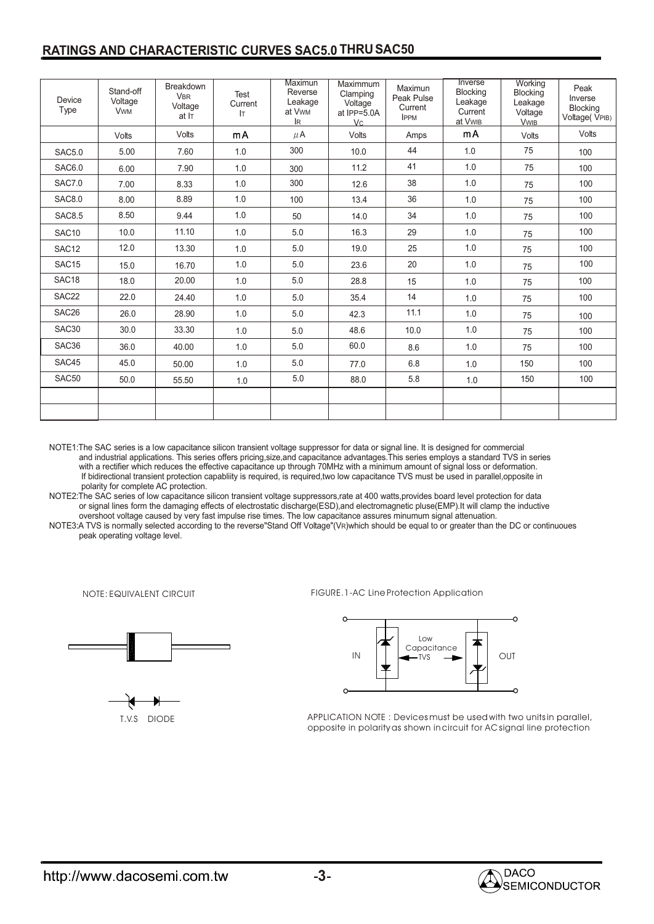#### **RATINGS AND CHARACTERISTIC CURVES SAC5.0 THRUSAC50**

| Device<br>Type    | Stand-off<br>Voltage<br><b>VwM</b> | <b>Breakdown</b><br><b>VBR</b><br>Voltage<br>at IT | Test<br>Current<br><b>IT</b> | Maximun<br>Reverse<br>Leakage<br>at Vwm<br>IR | Maximmum<br>Clamping<br>Voltage<br>at IPP=5.0A<br>Vc. | Maximun<br>Peak Pulse<br>Current<br><b>IPPM</b> | Inverse<br>Blocking<br>Leakage<br>Current<br>at VwiB | Working<br><b>Blocking</b><br>Leakage<br>Voltage<br><b>VwiB</b> | Peak<br>Inverse<br>Blocking<br>Voltage(VPIB) |
|-------------------|------------------------------------|----------------------------------------------------|------------------------------|-----------------------------------------------|-------------------------------------------------------|-------------------------------------------------|------------------------------------------------------|-----------------------------------------------------------------|----------------------------------------------|
|                   | Volts                              | Volts                                              | mA                           | $\mu$ A                                       | Volts                                                 | Amps                                            | mA                                                   | Volts                                                           | Volts                                        |
| <b>SAC5.0</b>     | 5.00                               | 7.60                                               | 1.0                          | 300                                           | 10.0                                                  | 44                                              | 1.0                                                  | 75                                                              | 100                                          |
| <b>SAC6.0</b>     | 6.00                               | 7.90                                               | 1.0                          | 300                                           | 11.2                                                  | 41                                              | 1.0                                                  | 75                                                              | 100                                          |
| <b>SAC7.0</b>     | 7.00                               | 8.33                                               | 1.0                          | 300                                           | 12.6                                                  | 38                                              | 1.0                                                  | 75                                                              | 100                                          |
| <b>SAC8.0</b>     | 8.00                               | 8.89                                               | 1.0                          | 100                                           | 13.4                                                  | 36                                              | 1.0                                                  | 75                                                              | 100                                          |
| <b>SAC8.5</b>     | 8.50                               | 9.44                                               | 1.0                          | 50                                            | 14.0                                                  | 34                                              | 1.0                                                  | 75                                                              | 100                                          |
| SAC10             | 10.0                               | 11.10                                              | 1.0                          | 5.0                                           | 16.3                                                  | 29                                              | 1.0                                                  | 75                                                              | 100                                          |
| SAC <sub>12</sub> | 12.0                               | 13.30                                              | 1.0                          | 5.0                                           | 19.0                                                  | 25                                              | $1.0\,$                                              | 75                                                              | 100                                          |
| SAC <sub>15</sub> | 15.0                               | 16.70                                              | 1.0                          | 5.0                                           | 23.6                                                  | 20                                              | 1.0                                                  | 75                                                              | 100                                          |
| SAC <sub>18</sub> | 18.0                               | 20.00                                              | 1.0                          | 5.0                                           | 28.8                                                  | 15                                              | 1.0                                                  | 75                                                              | 100                                          |
| SAC22             | 22.0                               | 24.40                                              | 1.0                          | 5.0                                           | 35.4                                                  | 14                                              | 1.0                                                  | 75                                                              | 100                                          |
| SAC <sub>26</sub> | 26.0                               | 28.90                                              | 1.0                          | 5.0                                           | 42.3                                                  | 11.1                                            | 1.0                                                  | 75                                                              | 100                                          |
| SAC30             | 30.0                               | 33.30                                              | 1.0                          | 5.0                                           | 48.6                                                  | 10.0                                            | 1.0                                                  | 75                                                              | 100                                          |
| SAC36             | 36.0                               | 40.00                                              | 1.0                          | 5.0                                           | 60.0                                                  | 8.6                                             | 1.0                                                  | 75                                                              | 100                                          |
| SAC45             | 45.0                               | 50.00                                              | 1.0                          | 5.0                                           | 77.0                                                  | 6.8                                             | 1.0                                                  | 150                                                             | 100                                          |
| SAC50             | 50.0                               | 55.50                                              | 1.0                          | 5.0                                           | 88.0                                                  | 5.8                                             | 1.0                                                  | 150                                                             | 100                                          |
|                   |                                    |                                                    |                              |                                               |                                                       |                                                 |                                                      |                                                                 |                                              |
|                   |                                    |                                                    |                              |                                               |                                                       |                                                 |                                                      |                                                                 |                                              |

NOTE1:The SAC series is a low capacitance silicon transient voltage suppressor for data or signal line. It is designed for commercial and industrial applications. This series offers pricing,size,and capacitance advantages.This series employs a standard TVS in series with a rectifier which reduces the effective capacitance up through 70MHz with a minimum amount of signal loss or deformation. If bidirectional transient protection capabliity is required, is required,two low capacitance TVS must be used in parallel,opposite in polarity for complete AC protection.

NOTE2:The SAC series of low capacitance silicon transient voltage suppressors,rate at 400 watts,provides board level protection for data or signal lines form the damaging effects of electrostatic discharge(ESD),and electromagnetic pluse(EMP).It will clamp the inductive overshoot voltage caused by very fast impulse rise times. The low capacitance assures minumum signal attenuation.

NOTE3:A TVS is normally selected according to the reverse"Stand Off Voltage"(VR)which should be equal to or greater than the DC or continuoues peak operating voltage level.

NOTE: EQUIVALENT CIRCUIT



T.V.S DIODE

FIGURE.1-AC Line Protection Application



APPLICATION NOTE : Devices must be used with two units in parallel, opposite in polarity as shown in circuit for AC signal line protection